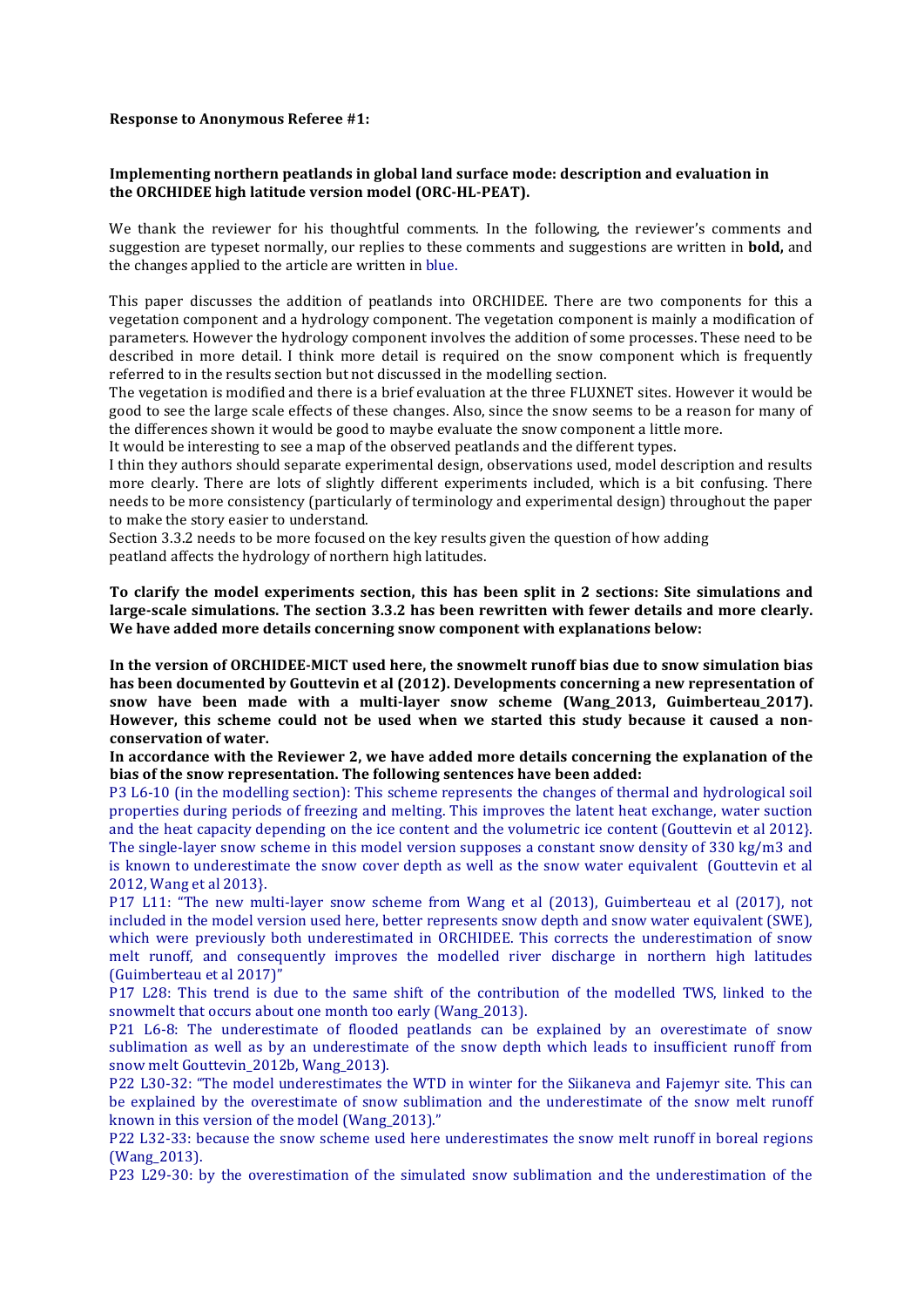#### **Response to Anonymous Referee #1:**

### **Implementing northern peatlands in global land surface mode: description and evaluation in** the ORCHIDEE high latitude version model (ORC-HL-PEAT).

We thank the reviewer for his thoughtful comments. In the following, the reviewer's comments and suggestion are typeset normally, our replies to these comments and suggestions are written in **bold**, and the changes applied to the article are written in blue.

This paper discusses the addition of peatlands into ORCHIDEE. There are two components for this a vegetation component and a hydrology component. The vegetation component is mainly a modification of parameters. However the hydrology component involves the addition of some processes. These need to be described in more detail. I think more detail is required on the snow component which is frequently referred to in the results section but not discussed in the modelling section.

The vegetation is modified and there is a brief evaluation at the three FLUXNET sites. However it would be good to see the large scale effects of these changes. Also, since the snow seems to be a reason for many of the differences shown it would be good to maybe evaluate the snow component a little more.

It would be interesting to see a map of the observed peatlands and the different types.

I thin they authors should separate experimental design, observations used, model description and results more clearly. There are lots of slightly different experiments included, which is a bit confusing. There needs to be more consistency (particularly of terminology and experimental design) throughout the paper to make the story easier to understand.

Section 3.3.2 needs to be more focused on the key results given the question of how adding peatland affects the hydrology of northern high latitudes.

To clarify the model experiments section, this has been split in 2 sections: Site simulations and large-scale simulations. The section 3.3.2 has been rewritten with fewer details and more clearly. **We have added more details concerning snow component with explanations below:** 

In the version of ORCHIDEE-MICT used here, the snowmelt runoff bias due to snow simulation bias has been documented by Gouttevin et al (2012). Developments concerning a new representation of snow have been made with a multi-layer snow scheme (Wang\_2013, Guimberteau\_2017). However, this scheme could not be used when we started this study because it caused a non**conservation of water.**

In accordance with the Reviewer 2, we have added more details concerning the explanation of the bias of the snow representation. The following sentences have been added:

P3 L6-10 (in the modelling section): This scheme represents the changes of thermal and hydrological soil properties during periods of freezing and melting. This improves the latent heat exchange, water suction and the heat capacity depending on the ice content and the volumetric ice content (Gouttevin et al 2012). The single-layer snow scheme in this model version supposes a constant snow density of 330 kg/m3 and is known to underestimate the snow cover depth as well as the snow water equivalent (Gouttevin et al 2012, Wang et al 2013}.

P17 L11: "The new multi-layer snow scheme from Wang et al (2013), Guimberteau et al (2017), not included in the model version used here, better represents snow depth and snow water equivalent (SWE), which were previously both underestimated in ORCHIDEE. This corrects the underestimation of snow melt runoff, and consequently improves the modelled river discharge in northern high latitudes (Guimberteau et al 2017)"

P17 L28: This trend is due to the same shift of the contribution of the modelled TWS, linked to the snowmelt that occurs about one month too early (Wang\_2013).

P21 L6-8: The underestimate of flooded peatlands can be explained by an overestimate of snow sublimation as well as by an underestimate of the snow depth which leads to insufficient runoff from snow melt Gouttevin 2012b, Wang 2013).

P22 L30-32: "The model underestimates the WTD in winter for the Siikaneva and Fajemyr site. This can be explained by the overestimate of snow sublimation and the underestimate of the snow melt runoff known in this version of the model (Wang  $2013$ )."

P22 L32-33: because the snow scheme used here underestimates the snow melt runoff in boreal regions (Wang\_2013).

P23 L29-30: by the overestimation of the simulated snow sublimation and the underestimation of the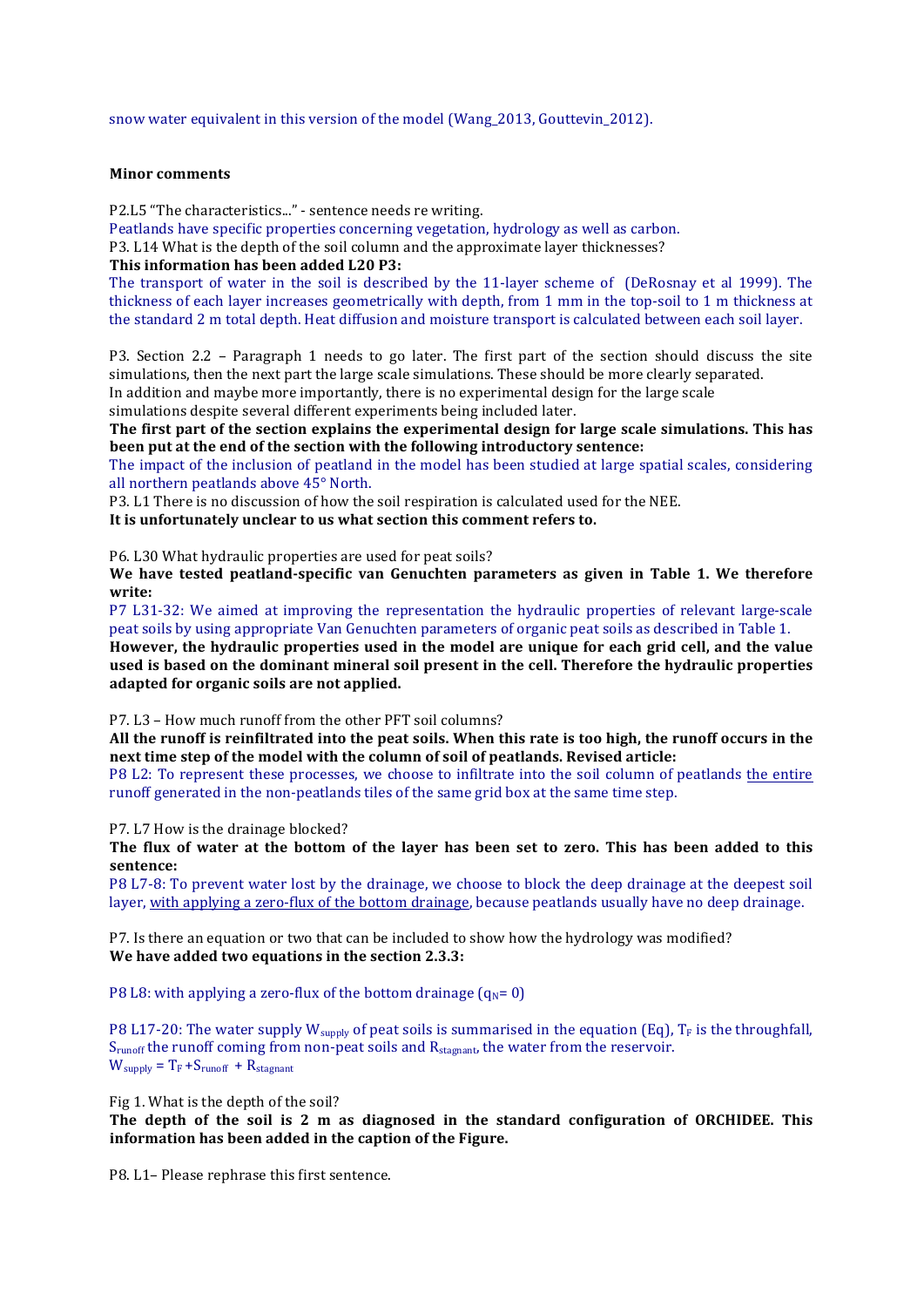snow water equivalent in this version of the model (Wang\_2013, Gouttevin\_2012).

## **Minor comments**

P2.L5 "The characteristics..." - sentence needs re writing.

Peatlands have specific properties concerning vegetation, hydrology as well as carbon.

P3. L14 What is the depth of the soil column and the approximate layer thicknesses?

## This information has been added L20 P3:

The transport of water in the soil is described by the 11-layer scheme of (DeRosnay et al 1999). The thickness of each layer increases geometrically with depth, from 1 mm in the top-soil to 1 m thickness at the standard 2 m total depth. Heat diffusion and moisture transport is calculated between each soil layer.

P3. Section 2.2 - Paragraph 1 needs to go later. The first part of the section should discuss the site simulations, then the next part the large scale simulations. These should be more clearly separated.

In addition and maybe more importantly, there is no experimental design for the large scale simulations despite several different experiments being included later.

The first part of the section explains the experimental design for large scale simulations. This has **been put at the end of the section with the following introductory sentence:** 

The impact of the inclusion of peatland in the model has been studied at large spatial scales, considering all northern peatlands above 45° North.

P3. L1 There is no discussion of how the soil respiration is calculated used for the NEE.

It is unfortunately unclear to us what section this comment refers to.

P6. L30 What hydraulic properties are used for peat soils?

We have tested peatland-specific van Genuchten parameters as given in Table 1. We therefore **write:**

P7 L31-32: We aimed at improving the representation the hydraulic properties of relevant large-scale peat soils by using appropriate Van Genuchten parameters of organic peat soils as described in Table 1.

However, the hydraulic properties used in the model are unique for each grid cell, and the value used is based on the dominant mineral soil present in the cell. Therefore the hydraulic properties adapted for organic soils are not applied.

P7. L3 - How much runoff from the other PFT soil columns?

All the runoff is reinfiltrated into the peat soils. When this rate is too high, the runoff occurs in the next time step of the model with the column of soil of peatlands. Revised article:

P8 L2: To represent these processes, we choose to infiltrate into the soil column of peatlands the entire runoff generated in the non-peatlands tiles of the same grid box at the same time step.

P7. L7 How is the drainage blocked?

The flux of water at the bottom of the layer has been set to zero. This has been added to this **sentence:**

P8 L7-8: To prevent water lost by the drainage, we choose to block the deep drainage at the deepest soil layer, with applying a zero-flux of the bottom drainage, because peatlands usually have no deep drainage.

P7. Is there an equation or two that can be included to show how the hydrology was modified? **We have added two equations in the section 2.3.3:** 

P8 L8: with applying a zero-flux of the bottom drainage  $(q_N=0)$ 

P8 L17-20: The water supply  $W_{\text{subly}}$  of peat soils is summarised in the equation (Eq),  $T_F$  is the throughfall,  $S_{\text{runoff}}$  the runoff coming from non-peat soils and  $R_{\text{stagnant}}$ , the water from the reservoir.  $W_{\text{supply}} = T_F + S_{\text{runoff}} + R_{\text{stagnant}}$ 

Fig 1. What is the depth of the soil?

The depth of the soil is 2 m as diagnosed in the standard configuration of ORCHIDEE. This information has been added in the caption of the Figure.

P8. L1- Please rephrase this first sentence.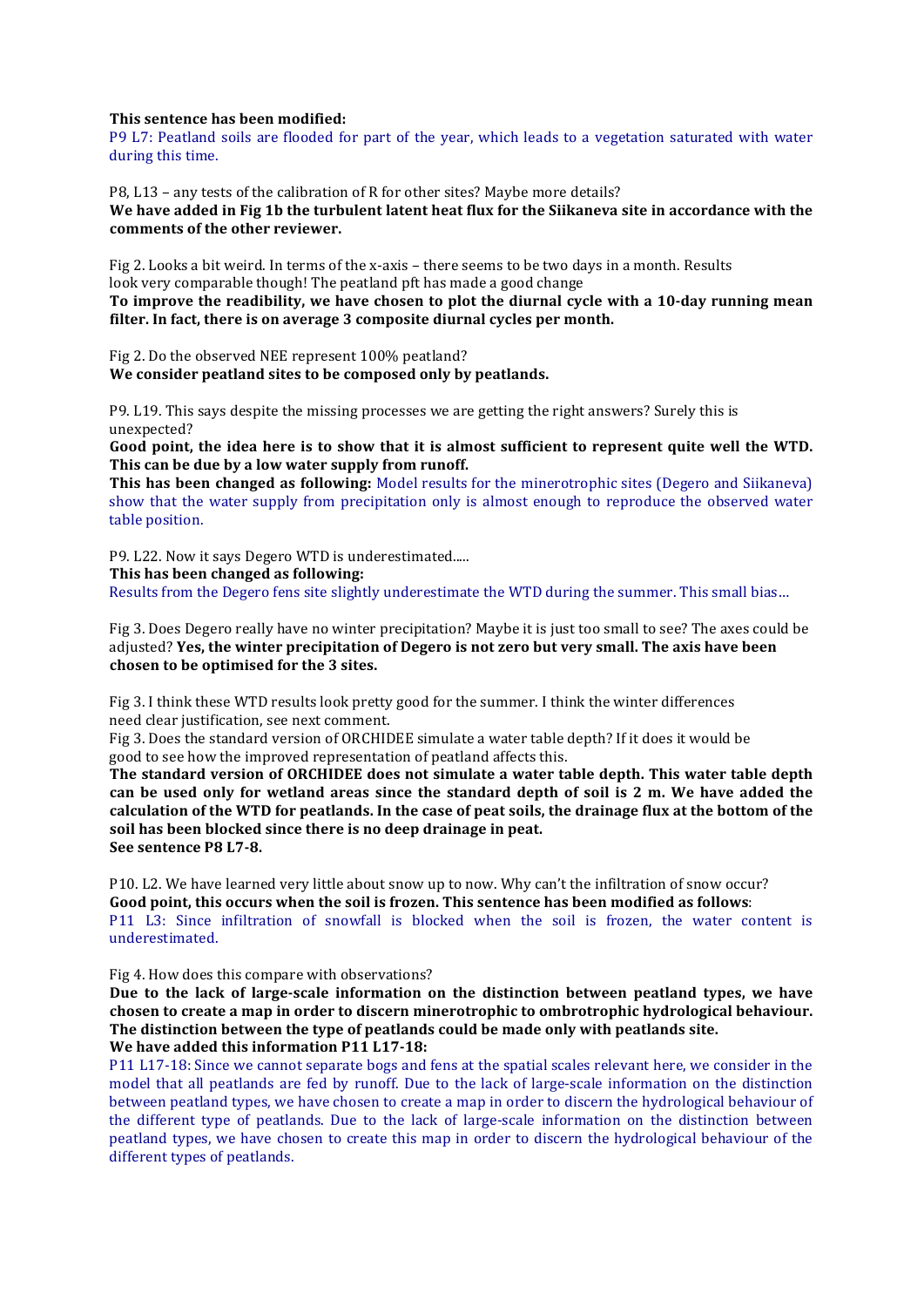### **This sentence has been modified:**

P9 L7: Peatland soils are flooded for part of the year, which leads to a vegetation saturated with water during this time.

P8, L13 - any tests of the calibration of R for other sites? Maybe more details? We have added in Fig 1b the turbulent latent heat flux for the Siikaneva site in accordance with the comments of the other reviewer.

Fig 2. Looks a bit weird. In terms of the x-axis – there seems to be two days in a month. Results look very comparable though! The peatland pft has made a good change To improve the readibility, we have chosen to plot the diurnal cycle with a 10-day running mean filter. In fact, there is on average 3 composite diurnal cycles per month.

Fig 2. Do the observed NEE represent 100% peatland? We consider peatland sites to be composed only by peatlands.

P9. L19. This says despite the missing processes we are getting the right answers? Surely this is unexpected?

Good point, the idea here is to show that it is almost sufficient to represent quite well the WTD. This can be due by a low water supply from runoff.

**This has been changed as following:** Model results for the minerotrophic sites (Degero and Siikaneva) show that the water supply from precipitation only is almost enough to reproduce the observed water table position.

P9. L22. Now it says Degero WTD is underestimated.....

This has been changed as following:

Results from the Degero fens site slightly underestimate the WTD during the summer. This small bias...

Fig 3. Does Degero really have no winter precipitation? Maybe it is just too small to see? The axes could be adjusted? **Yes, the winter precipitation of Degero is not zero but very small. The axis have been chosen to be optimised for the 3 sites.**

Fig 3. I think these WTD results look pretty good for the summer. I think the winter differences need clear justification, see next comment.

Fig 3. Does the standard version of ORCHIDEE simulate a water table depth? If it does it would be good to see how the improved representation of peatland affects this.

The standard version of ORCHIDEE does not simulate a water table depth. This water table depth can be used only for wetland areas since the standard depth of soil is 2 m. We have added the calculation of the WTD for peatlands. In the case of peat soils, the drainage flux at the bottom of the soil has been blocked since there is no deep drainage in peat. See sentence **P8** L7-8.

P10. L2. We have learned very little about snow up to now. Why can't the infiltration of snow occur? Good point, this occurs when the soil is frozen. This sentence has been modified as follows: P11 L3: Since infiltration of snowfall is blocked when the soil is frozen, the water content is underestimated.

Fig 4. How does this compare with observations?

Due to the lack of large-scale information on the distinction between peatland types, we have chosen to create a map in order to discern minerotrophic to ombrotrophic hydrological behaviour. The distinction between the type of peatlands could be made only with peatlands site. **We have added this information P11 L17-18:** 

P11 L17-18: Since we cannot separate bogs and fens at the spatial scales relevant here, we consider in the model that all peatlands are fed by runoff. Due to the lack of large-scale information on the distinction between peatland types, we have chosen to create a map in order to discern the hydrological behaviour of the different type of peatlands. Due to the lack of large-scale information on the distinction between peatland types, we have chosen to create this map in order to discern the hydrological behaviour of the different types of peatlands.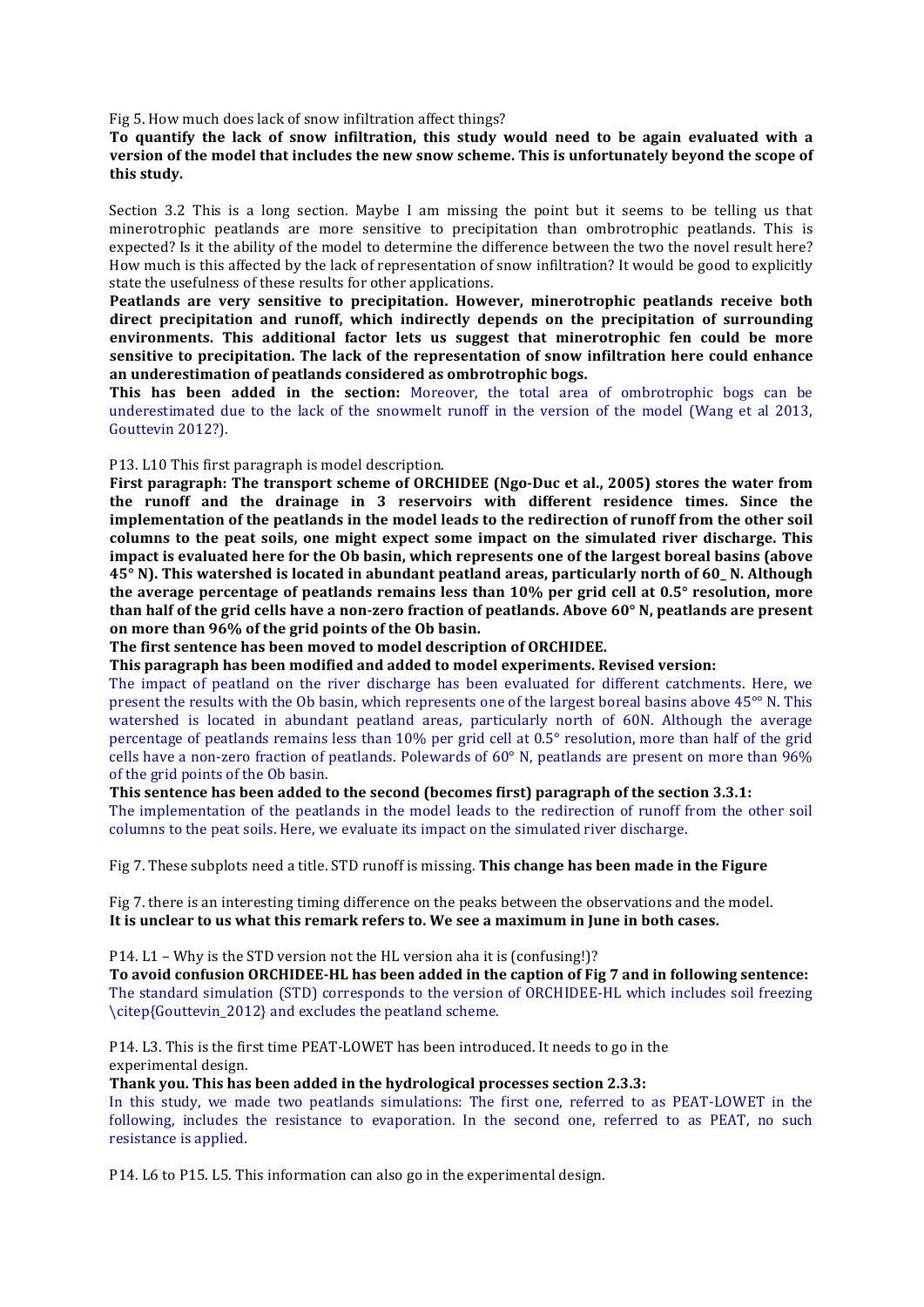Fig 5. How much does lack of snow infiltration affect things?

# To quantify the lack of snow infiltration, this study would need to be again evaluated with a version of the model that includes the new snow scheme. This is unfortunately beyond the scope of **this study.**

Section  $3.2$  This is a long section. Maybe I am missing the point but it seems to be telling us that minerotrophic peatlands are more sensitive to precipitation than ombrotrophic peatlands. This is expected? Is it the ability of the model to determine the difference between the two the novel result here? How much is this affected by the lack of representation of snow infiltration? It would be good to explicitly state the usefulness of these results for other applications.

**Peatlands** are very sensitive to precipitation. However, minerotrophic peatlands receive both direct precipitation and runoff, which indirectly depends on the precipitation of surrounding **environments.** This additional factor lets us suggest that minerotrophic fen could be more sensitive to precipitation. The lack of the representation of snow infiltration here could enhance an underestimation of peatlands considered as ombrotrophic bogs.

**This has been added in the section:** Moreover, the total area of ombrotrophic bogs can be underestimated due to the lack of the snowmelt runoff in the version of the model (Wang et al  $2013$ , Gouttevin 2012?).

### P13. L10 This first paragraph is model description.

First paragraph: The transport scheme of ORCHIDEE (Ngo-Duc et al., 2005) stores the water from **the runoff and the drainage in 3 reservoirs with different residence times. Since the** implementation of the peatlands in the model leads to the redirection of runoff from the other soil columns to the peat soils, one might expect some impact on the simulated river discharge. This impact is evaluated here for the Ob basin, which represents one of the largest boreal basins (above **45°** N). This watershed is located in abundant peatland areas, particularly north of 60 N. Although **the average percentage of peatlands remains less than 10% per grid cell at 0.5° resolution, more than half of the grid cells have a non-zero fraction of peatlands. Above 60° N, peatlands are present** on more than 96% of the grid points of the Ob basin.

The first sentence has been moved to model description of ORCHIDEE.

This paragraph has been modified and added to model experiments. Revised version:

The impact of peatland on the river discharge has been evaluated for different catchments. Here, we present the results with the Ob basin, which represents one of the largest boreal basins above  $45^{\circ}$  N. This watershed is located in abundant peatland areas, particularly north of 60N. Although the average percentage of peatlands remains less than 10% per grid cell at 0.5° resolution, more than half of the grid cells have a non-zero fraction of peatlands. Polewards of  $60^{\circ}$  N, peatlands are present on more than  $96\%$ of the grid points of the Ob basin.

# **This sentence has been added to the second (becomes first) paragraph of the section 3.3.1:**

The implementation of the peatlands in the model leads to the redirection of runoff from the other soil columns to the peat soils. Here, we evaluate its impact on the simulated river discharge.

Fig 7. These subplots need a title. STD runoff is missing. **This change has been made in the Figure** 

Fig 7. there is an interesting timing difference on the peaks between the observations and the model. It is unclear to us what this remark refers to. We see a maximum in June in both cases.

#### P14.  $L1 - Why$  is the STD version not the HL version aha it is (confusing!)?

To avoid confusion ORCHIDEE-HL has been added in the caption of Fig 7 and in following sentence: The standard simulation (STD) corresponds to the version of ORCHIDEE-HL which includes soil freezing \citep{Gouttevin\_2012} and excludes the peatland scheme.

P14. L3. This is the first time PEAT-LOWET has been introduced. It needs to go in the experimental design.

**Thank you. This has been added in the hydrological processes section 2.3.3:** 

In this study, we made two peatlands simulations: The first one, referred to as PEAT-LOWET in the following, includes the resistance to evaporation. In the second one, referred to as PEAT, no such resistance is applied.

P14. L6 to P15. L5. This information can also go in the experimental design.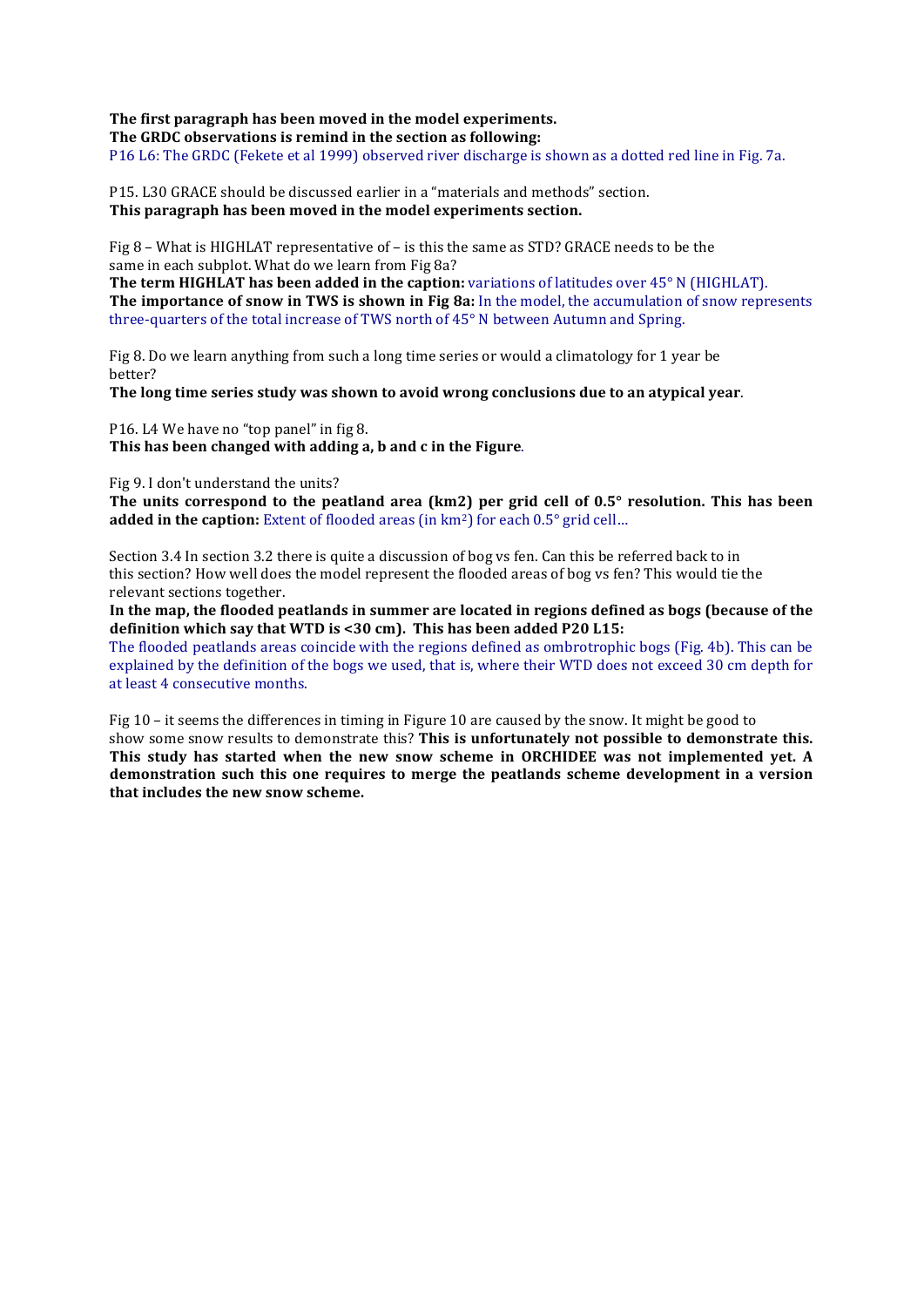# The first paragraph has been moved in the model experiments.

The GRDC observations is remind in the section as following:

P16 L6: The GRDC (Fekete et al 1999) observed river discharge is shown as a dotted red line in Fig. 7a.

P15. L30 GRACE should be discussed earlier in a "materials and methods" section. This paragraph has been moved in the model experiments section.

Fig 8 – What is HIGHLAT representative of – is this the same as STD? GRACE needs to be the same in each subplot. What do we learn from Fig 8a?

**The term HIGHLAT has been added in the caption:** variations of latitudes over 45° N (HIGHLAT). **The importance of snow in TWS is shown in Fig 8a:** In the model, the accumulation of snow represents three-quarters of the total increase of TWS north of  $45^{\circ}$  N between Autumn and Spring.

Fig 8. Do we learn anything from such a long time series or would a climatology for 1 year be better?

**The long time series study was shown to avoid wrong conclusions due to an atypical year.** 

P16. L4 We have no "top panel" in fig 8. This has been changed with adding a, b and c in the Figure.

Fig 9. I don't understand the units?

The units correspond to the peatland area (km2) per grid cell of 0.5° resolution. This has been **added in the caption:** Extent of flooded areas (in km<sup>2</sup>) for each 0.5° grid cell...

Section  $3.4$  In section  $3.2$  there is quite a discussion of bog vs fen. Can this be referred back to in this section? How well does the model represent the flooded areas of bog vs fen? This would tie the relevant sections together.

In the map, the flooded peatlands in summer are located in regions defined as bogs (because of the definition which say that WTD is <30 cm). This has been added P20 L15:

The flooded peatlands areas coincide with the regions defined as ombrotrophic bogs (Fig. 4b). This can be explained by the definition of the bogs we used, that is, where their WTD does not exceed 30 cm depth for at least 4 consecutive months.

Fig 10 – it seems the differences in timing in Figure 10 are caused by the snow. It might be good to show some snow results to demonstrate this? This is unfortunately not possible to demonstrate this. This study has started when the new snow scheme in ORCHIDEE was not implemented yet. A demonstration such this one requires to merge the peatlands scheme development in a version **that includes the new snow scheme.**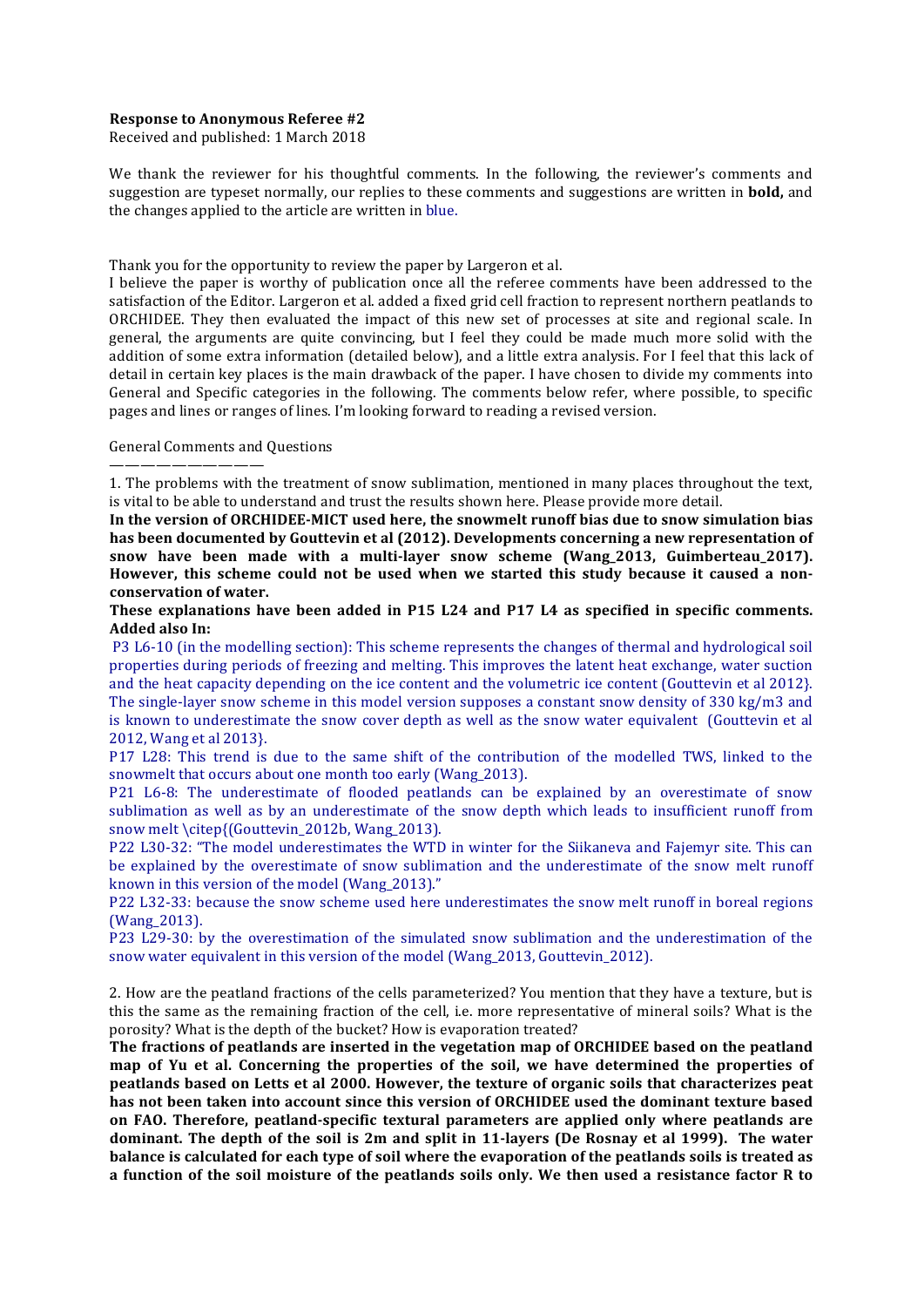#### **Response to Anonymous Referee #2**

Received and published: 1 March 2018

We thank the reviewer for his thoughtful comments. In the following, the reviewer's comments and suggestion are typeset normally, our replies to these comments and suggestions are written in **bold**, and the changes applied to the article are written in blue.

Thank you for the opportunity to review the paper by Largeron et al.

I believe the paper is worthy of publication once all the referee comments have been addressed to the satisfaction of the Editor. Largeron et al. added a fixed grid cell fraction to represent northern peatlands to ORCHIDEE. They then evaluated the impact of this new set of processes at site and regional scale. In general, the arguments are quite convincing, but I feel they could be made much more solid with the addition of some extra information (detailed below), and a little extra analysis. For I feel that this lack of detail in certain key places is the main drawback of the paper. I have chosen to divide my comments into General and Specific categories in the following. The comments below refer, where possible, to specific pages and lines or ranges of lines. I'm looking forward to reading a revised version.

General Comments and Questions

——————————

1. The problems with the treatment of snow sublimation, mentioned in many places throughout the text, is vital to be able to understand and trust the results shown here. Please provide more detail.

In the version of ORCHIDEE-MICT used here, the snowmelt runoff bias due to snow simulation bias has been documented by Gouttevin et al (2012). Developments concerning a new representation of snow have been made with a multi-layer snow scheme (Wang\_2013, Guimberteau\_2017). However, this scheme could not be used when we started this study because it caused a non**conservation of water.**

**These explanations have been added in P15 L24 and P17 L4 as specified in specific comments. Added also In:**

P3 L6-10 (in the modelling section): This scheme represents the changes of thermal and hydrological soil properties during periods of freezing and melting. This improves the latent heat exchange, water suction and the heat capacity depending on the ice content and the volumetric ice content (Gouttevin et al 2012). The single-layer snow scheme in this model version supposes a constant snow density of 330 kg/m3 and is known to underestimate the snow cover depth as well as the snow water equivalent (Gouttevin et al 2012, Wang et al 2013}.

P17 L28: This trend is due to the same shift of the contribution of the modelled TWS, linked to the snowmelt that occurs about one month too early (Wang 2013).

P21 L6-8: The underestimate of flooded peatlands can be explained by an overestimate of snow sublimation as well as by an underestimate of the snow depth which leads to insufficient runoff from snow melt \citep{(Gouttevin\_2012b, Wang\_2013).

P22 L30-32: "The model underestimates the WTD in winter for the Siikaneva and Fajemyr site. This can be explained by the overestimate of snow sublimation and the underestimate of the snow melt runoff known in this version of the model (Wang  $2013$ )."

P22 L32-33: because the snow scheme used here underestimates the snow melt runoff in boreal regions (Wang\_2013).

P23 L29-30: by the overestimation of the simulated snow sublimation and the underestimation of the snow water equivalent in this version of the model (Wang\_2013, Gouttevin\_2012).

2. How are the peatland fractions of the cells parameterized? You mention that they have a texture, but is this the same as the remaining fraction of the cell, i.e. more representative of mineral soils? What is the porosity? What is the depth of the bucket? How is evaporation treated?

The fractions of peatlands are inserted in the vegetation map of ORCHIDEE based on the peatland map of Yu et al. Concerning the properties of the soil, we have determined the properties of **peatlands based on Letts et al 2000. However, the texture of organic soils that characterizes peat has not been taken into account since this version of ORCHIDEE used the dominant texture based** on FAO. Therefore, peatland-specific textural parameters are applied only where peatlands are **dominant.** The depth of the soil is 2m and split in 11-layers (De Rosnay et al 1999). The water **balance is calculated for each type of soil where the evaporation of the peatlands soils is treated as a** function of the soil moisture of the peatlands soils only. We then used a resistance factor R to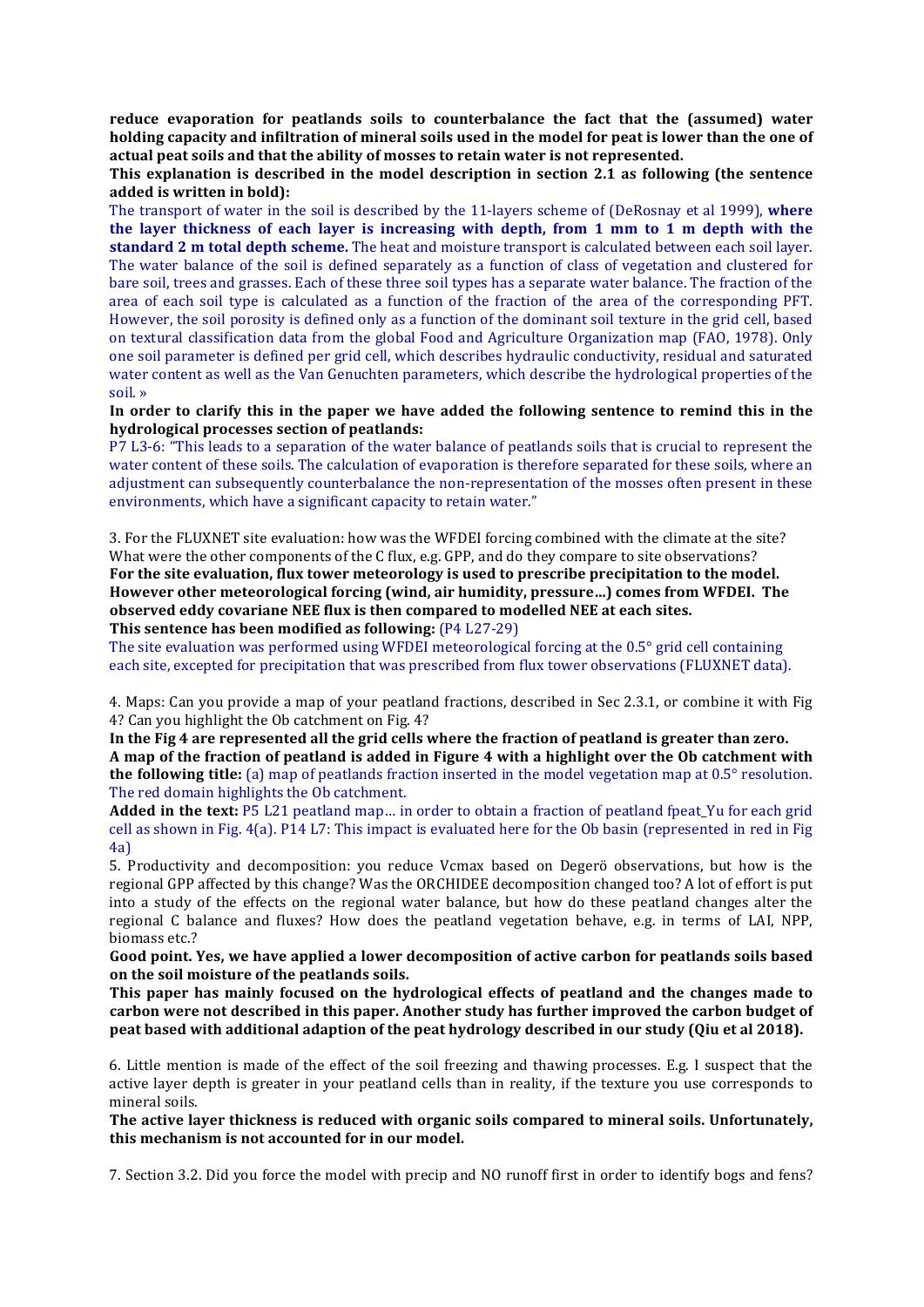**reduce evaporation for peatlands soils to counterbalance the fact that the (assumed) water holding capacity and infiltration of mineral soils used in the model for peat is lower than the one of** actual peat soils and that the ability of mosses to retain water is not represented.

**This** explanation is described in the model description in section 2.1 as following (the sentence added is written in bold):

The transport of water in the soil is described by the 11-layers scheme of (DeRosnay et al 1999), where the layer thickness of each layer is increasing with depth, from 1 mm to 1 m depth with the **standard 2** m total depth scheme. The heat and moisture transport is calculated between each soil layer. The water balance of the soil is defined separately as a function of class of vegetation and clustered for bare soil, trees and grasses. Each of these three soil types has a separate water balance. The fraction of the area of each soil type is calculated as a function of the fraction of the area of the corresponding PFT. However, the soil porosity is defined only as a function of the dominant soil texture in the grid cell, based on textural classification data from the global Food and Agriculture Organization map (FAO, 1978). Only one soil parameter is defined per grid cell, which describes hydraulic conductivity, residual and saturated water content as well as the Van Genuchten parameters, which describe the hydrological properties of the soil. »

In order to clarify this in the paper we have added the following sentence to remind this in the **hydrological processes section of peatlands:**

P7 L3-6: "This leads to a separation of the water balance of peatlands soils that is crucial to represent the water content of these soils. The calculation of evaporation is therefore separated for these soils, where an adjustment can subsequently counterbalance the non-representation of the mosses often present in these environments, which have a significant capacity to retain water."

3. For the FLUXNET site evaluation: how was the WFDEI forcing combined with the climate at the site? What were the other components of the  $C$  flux, e.g. GPP, and do they compare to site observations? For the site evaluation, flux tower meteorology is used to prescribe precipitation to the model. **However other meteorological forcing (wind, air humidity, pressure...) comes from WFDEI. The observed eddy covariane NEE flux is then compared to modelled NEE at each sites. This sentence has been modified as following:** (P4 L27-29)

The site evaluation was performed using WFDEI meteorological forcing at the  $0.5^{\circ}$  grid cell containing each site, excepted for precipitation that was prescribed from flux tower observations (FLUXNET data).

4. Maps: Can you provide a map of your peatland fractions, described in Sec 2.3.1, or combine it with Fig. 4? Can you highlight the Ob catchment on Fig. 4?

In the Fig 4 are represented all the grid cells where the fraction of peatland is greater than zero. A map of the fraction of peatland is added in Figure 4 with a highlight over the Ob catchment with **the following title:** (a) map of peatlands fraction inserted in the model vegetation map at 0.5° resolution. The red domain highlights the Ob catchment.

**Added in the text:** P5 L21 peatland map... in order to obtain a fraction of peatland fpeat Yu for each grid cell as shown in Fig.  $4(a)$ . P14 L7: This impact is evaluated here for the Ob basin (represented in red in Fig. 4a)

5. Productivity and decomposition: you reduce Vcmax based on Degerö observations, but how is the regional GPP affected by this change? Was the ORCHIDEE decomposition changed too? A lot of effort is put into a study of the effects on the regional water balance, but how do these peatland changes alter the regional C balance and fluxes? How does the peatland vegetation behave, e.g. in terms of LAI, NPP, biomass etc.?

Good point. Yes, we have applied a lower decomposition of active carbon for peatlands soils based on the soil moisture of the peatlands soils.

This paper has mainly focused on the hydrological effects of peatland and the changes made to carbon were not described in this paper. Another study has further improved the carbon budget of **peat based with additional adaption of the peat hydrology described in our study (Oiu et al 2018).** 

6. Little mention is made of the effect of the soil freezing and thawing processes. E.g. I suspect that the active layer depth is greater in your peatland cells than in reality, if the texture you use corresponds to mineral soils.

The active layer thickness is reduced with organic soils compared to mineral soils. Unfortunately, this mechanism is not accounted for in our model.

7. Section 3.2. Did you force the model with precip and NO runoff first in order to identify bogs and fens?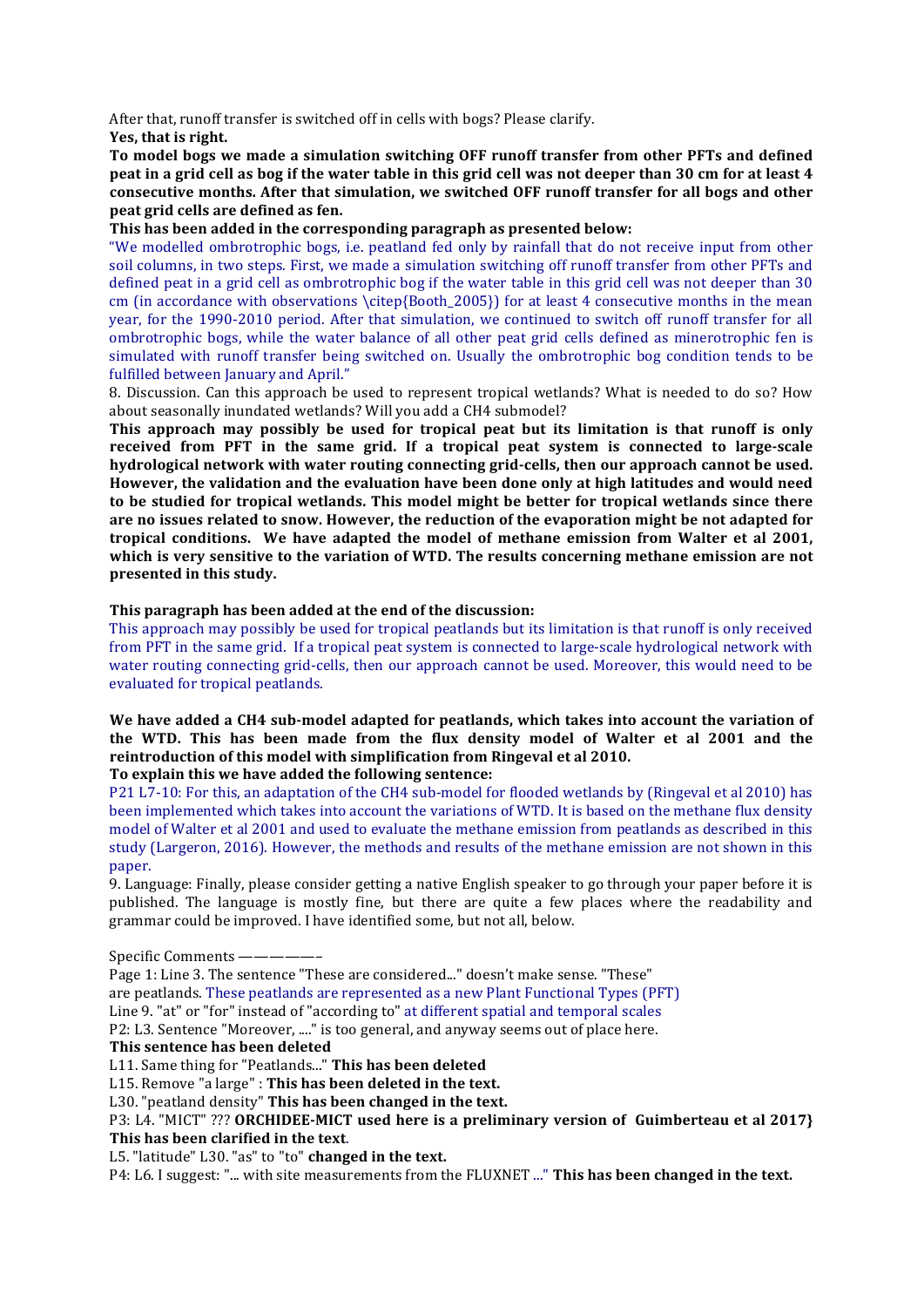After that, runoff transfer is switched off in cells with bogs? Please clarify. **Yes, that is right.** 

To model bogs we made a simulation switching OFF runoff transfer from other PFTs and defined **peat in a grid cell as bog if the water table in this grid cell was not deeper than 30 cm for at least 4 consecutive months.** After that simulation, we switched OFF runoff transfer for all bogs and other **peat grid cells are defined as fen.** 

# This has been added in the corresponding paragraph as presented below:

"We modelled ombrotrophic bogs, i.e. peatland fed only by rainfall that do not receive input from other soil columns, in two steps. First, we made a simulation switching off runoff transfer from other PFTs and defined peat in a grid cell as ombrotrophic bog if the water table in this grid cell was not deeper than 30 cm (in accordance with observations \citep{Booth  $2005$ }) for at least 4 consecutive months in the mean year, for the 1990-2010 period. After that simulation, we continued to switch off runoff transfer for all ombrotrophic bogs, while the water balance of all other peat grid cells defined as minerotrophic fen is simulated with runoff transfer being switched on. Usually the ombrotrophic bog condition tends to be fulfilled between January and April."

8. Discussion. Can this approach be used to represent tropical wetlands? What is needed to do so? How about seasonally inundated wetlands? Will you add a CH4 submodel?

**This** approach may possibly be used for tropical peat but its limitation is that runoff is only received from PFT in the same grid. If a tropical peat system is connected to large-scale hydrological network with water routing connecting grid-cells, then our approach cannot be used. However, the validation and the evaluation have been done only at high latitudes and would need to be studied for tropical wetlands. This model might be better for tropical wetlands since there are no issues related to snow. However, the reduction of the evaporation might be not adapted for **tropical conditions.** We have adapted the model of methane emission from Walter et al 2001, which is very sensitive to the variation of WTD. The results concerning methane emission are not **presented in this study.** 

# This paragraph has been added at the end of the discussion:

This approach may possibly be used for tropical peatlands but its limitation is that runoff is only received from PFT in the same grid. If a tropical peat system is connected to large-scale hydrological network with water routing connecting grid-cells, then our approach cannot be used. Moreover, this would need to be evaluated for tropical peatlands.

We have added a CH4 sub-model adapted for peatlands, which takes into account the variation of the WTD. This has been made from the flux density model of Walter et al 2001 and the reintroduction of this model with simplification from Ringeval et al 2010.

To explain this we have added the following sentence:

P21 L7-10: For this, an adaptation of the CH4 sub-model for flooded wetlands by (Ringeval et al 2010) has been implemented which takes into account the variations of WTD. It is based on the methane flux density model of Walter et al 2001 and used to evaluate the methane emission from peatlands as described in this study (Largeron, 2016). However, the methods and results of the methane emission are not shown in this paper.

9. Language: Finally, please consider getting a native English speaker to go through your paper before it is published. The language is mostly fine, but there are quite a few places where the readability and grammar could be improved. I have identified some, but not all, below.

Specific Comments ——-

Page 1: Line 3. The sentence "These are considered..." doesn't make sense. "These" are peatlands. These peatlands are represented as a new Plant Functional Types (PFT) Line 9. "at" or "for" instead of "according to" at different spatial and temporal scales P2: L3. Sentence "Moreover, ...." is too general, and anyway seems out of place here. **This sentence has been deleted**

L11. Same thing for "Peatlands..." This has been deleted

L15. Remove "a large" : This has been deleted in the text.

L30. "peatland density" **This has been changed in the text.** 

# P3: L4. "MICT" ??? ORCHIDEE-MICT used here is a preliminary version of Guimberteau et al 2017} This has been clarified in the text.

L5. "latitude" L30. "as" to "to" **changed in the text.** 

P4: L6. I suggest: "... with site measurements from the FLUXNET ..." This has been changed in the text.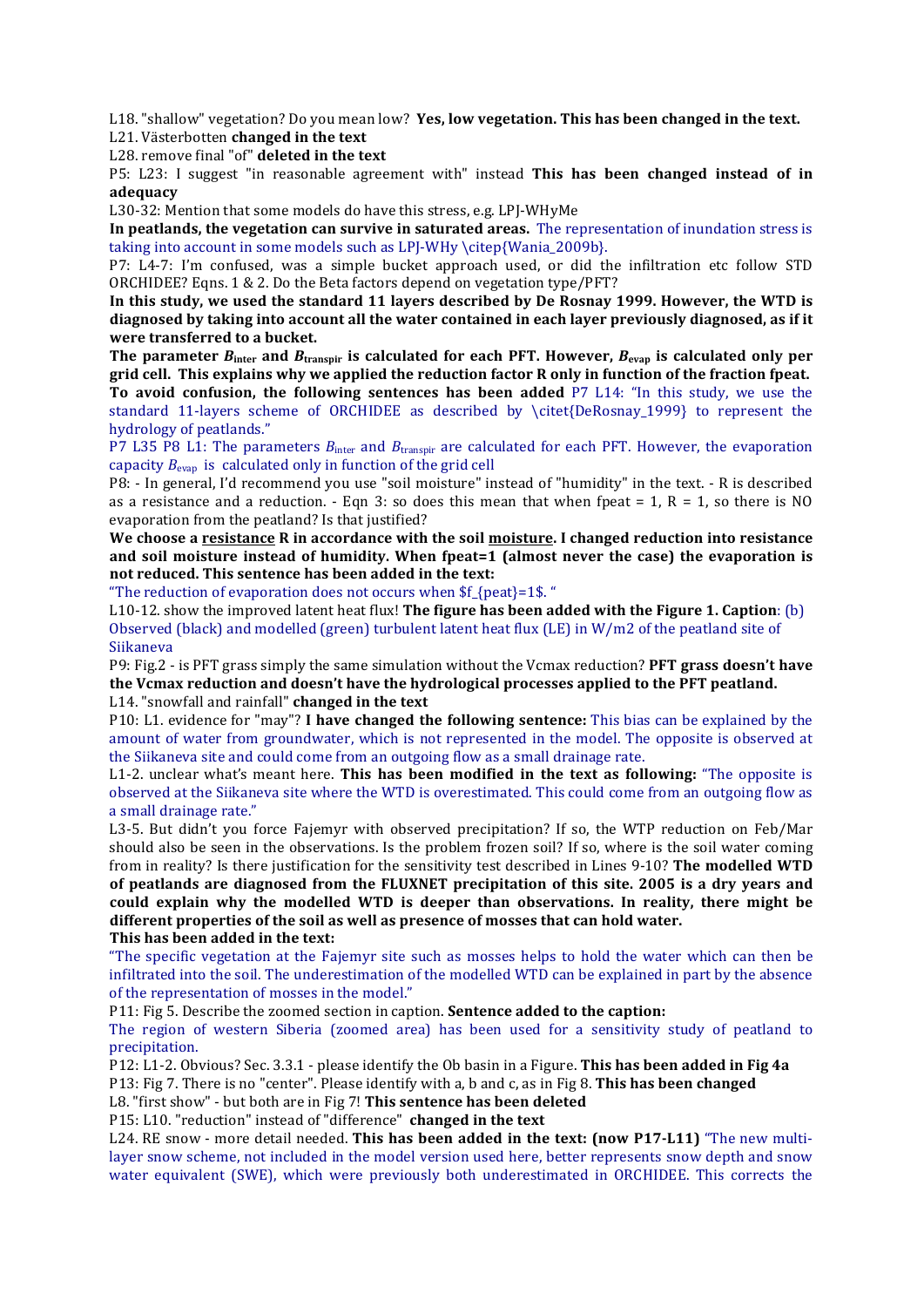L18. "shallow" vegetation? Do you mean low? Yes, low vegetation. This has been changed in the text.

L21. Västerbotten **changed** in the text L28. remove final "of" **deleted in the text** 

P5: L23: I suggest "in reasonable agreement with" instead This has been changed instead of in **adequacy**

L30-32: Mention that some models do have this stress, e.g. LPJ-WHyMe

In peatlands, the vegetation can survive in saturated areas. The representation of inundation stress is taking into account in some models such as LPJ-WHy \citep{Wania\_2009b}.

P7: L4-7: I'm confused, was a simple bucket approach used, or did the infiltration etc follow STD ORCHIDEE? Eqns. 1 & 2. Do the Beta factors depend on vegetation type/PFT?

In this study, we used the standard 11 layers described by De Rosnay 1999. However, the WTD is diagnosed by taking into account all the water contained in each layer previously diagnosed, as if it were transferred to a bucket.

The parameter  $B_{\text{inter}}$  and  $B_{\text{transpir}}$  is calculated for each PFT. However,  $B_{\text{evap}}$  is calculated only per grid cell. This explains why we applied the reduction factor R only in function of the fraction fpeat. **To** avoid confusion, the following sentences has been added P7 L14: "In this study, we use the standard 11-layers scheme of ORCHIDEE as described by \citet{DeRosnay\_1999} to represent the hydrology of peatlands."

P7 L35 P8 L1: The parameters  $B_{\text{inter}}$  and  $B_{\text{transpir}}$  are calculated for each PFT. However, the evaporation capacity  $B_{\text{evap}}$  is calculated only in function of the grid cell

P8: - In general, I'd recommend you use "soil moisture" instead of "humidity" in the text. - R is described as a resistance and a reduction. - Eqn 3: so does this mean that when fpeat = 1, R = 1, so there is NO evaporation from the peatland? Is that justified?

**We choose a resistance R in accordance with the soil moisture. I changed reduction into resistance** and soil moisture instead of humidity. When fpeat=1 (almost never the case) the evaporation is not reduced. This sentence has been added in the text:

"The reduction of evaporation does not occurs when  $f$  {peat}=1\$."

L10-12. show the improved latent heat flux! **The figure has been added with the Figure 1. Caption**: (b) Observed (black) and modelled (green) turbulent latent heat flux (LE) in  $W/m2$  of the peatland site of Siikaneva

P9: Fig.2 - is PFT grass simply the same simulation without the Vcmax reduction? **PFT grass doesn't have** the Vcmax reduction and doesn't have the hydrological processes applied to the PFT peatland. L14. "snowfall and rainfall" **changed in the text** 

P10: L1. evidence for "may"? I have changed the following sentence: This bias can be explained by the amount of water from groundwater, which is not represented in the model. The opposite is observed at the Siikaneva site and could come from an outgoing flow as a small drainage rate.

L1-2. unclear what's meant here. **This has been modified in the text as following:** "The opposite is observed at the Siikaneva site where the WTD is overestimated. This could come from an outgoing flow as a small drainage rate."

L3-5. But didn't you force Fajemyr with observed precipitation? If so, the WTP reduction on Feb/Mar should also be seen in the observations. Is the problem frozen soil? If so, where is the soil water coming from in reality? Is there justification for the sensitivity test described in Lines 9-10? **The modelled WTD** of peatlands are diagnosed from the FLUXNET precipitation of this site. 2005 is a dry vears and could explain why the modelled WTD is deeper than observations. In reality, there might be different properties of the soil as well as presence of mosses that can hold water. This has been added in the text:

"The specific vegetation at the Fajemyr site such as mosses helps to hold the water which can then be infiltrated into the soil. The underestimation of the modelled WTD can be explained in part by the absence of the representation of mosses in the model."

P11: Fig 5. Describe the zoomed section in caption. **Sentence added to the caption:** 

The region of western Siberia (zoomed area) has been used for a sensitivity study of peatland to precipitation. 

P12: L1-2. Obvious? Sec. 3.3.1 - please identify the Ob basin in a Figure. **This has been added in Fig 4a** P13: Fig 7. There is no "center". Please identify with a, b and c, as in Fig 8. **This has been changed** 

L8. "first show" - but both are in Fig 7! This sentence has been deleted

P15: L10. "reduction" instead of "difference" **changed in the text** 

L24. RE snow - more detail needed. This has been added in the text: (now P17-L11) "The new multilayer snow scheme, not included in the model version used here, better represents snow depth and snow water equivalent (SWE), which were previously both underestimated in ORCHIDEE. This corrects the